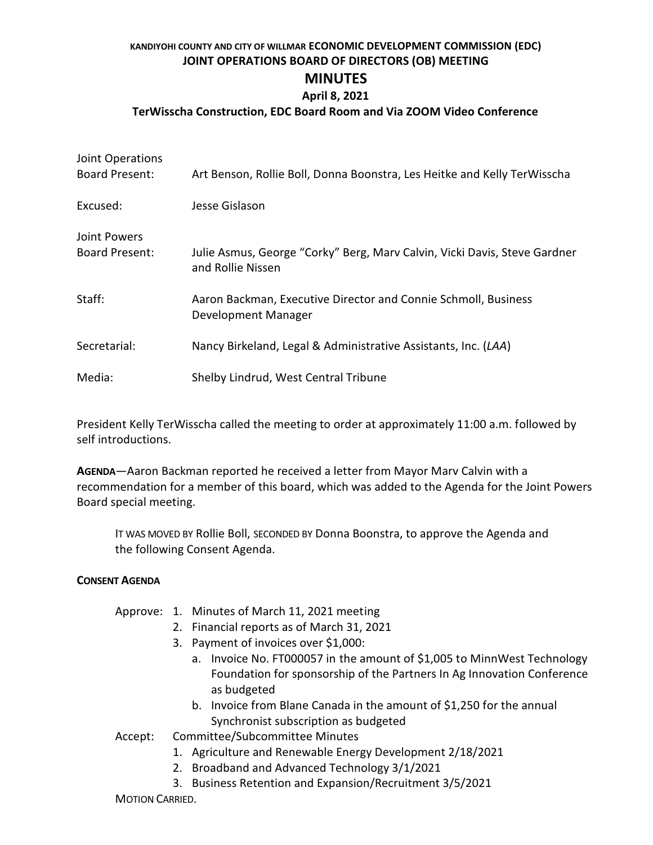# **KANDIYOHI COUNTY AND CITY OF WILLMAR ECONOMIC DEVELOPMENT COMMISSION (EDC) JOINT OPERATIONS BOARD OF DIRECTORS (OB) MEETING**

## **MINUTES**

#### **April 8, 2021**

### **TerWisscha Construction, EDC Board Room and Via ZOOM Video Conference**

| Joint Operations<br><b>Board Present:</b> | Art Benson, Rollie Boll, Donna Boonstra, Les Heitke and Kelly TerWisscha                       |
|-------------------------------------------|------------------------------------------------------------------------------------------------|
|                                           |                                                                                                |
| Excused:                                  | Jesse Gislason                                                                                 |
| Joint Powers                              |                                                                                                |
| <b>Board Present:</b>                     | Julie Asmus, George "Corky" Berg, Marv Calvin, Vicki Davis, Steve Gardner<br>and Rollie Nissen |
| Staff:                                    | Aaron Backman, Executive Director and Connie Schmoll, Business<br>Development Manager          |
| Secretarial:                              | Nancy Birkeland, Legal & Administrative Assistants, Inc. (LAA)                                 |
| Media:                                    | Shelby Lindrud, West Central Tribune                                                           |

President Kelly TerWisscha called the meeting to order at approximately 11:00 a.m. followed by self introductions.

**AGENDA**—Aaron Backman reported he received a letter from Mayor Marv Calvin with a recommendation for a member of this board, which was added to the Agenda for the Joint Powers Board special meeting.

IT WAS MOVED BY Rollie Boll, SECONDED BY Donna Boonstra, to approve the Agenda and the following Consent Agenda.

#### **CONSENT AGENDA**

#### Approve: 1. Minutes of March 11, 2021 meeting

- 2. Financial reports as of March 31, 2021
- 3. Payment of invoices over \$1,000:
	- a. Invoice No. FT000057 in the amount of \$1,005 to MinnWest Technology Foundation for sponsorship of the Partners In Ag Innovation Conference as budgeted
	- b. Invoice from Blane Canada in the amount of \$1,250 for the annual Synchronist subscription as budgeted

Accept: Committee/Subcommittee Minutes

- 1. Agriculture and Renewable Energy Development 2/18/2021
- 2. Broadband and Advanced Technology 3/1/2021
- 3. Business Retention and Expansion/Recruitment 3/5/2021

MOTION CARRIED.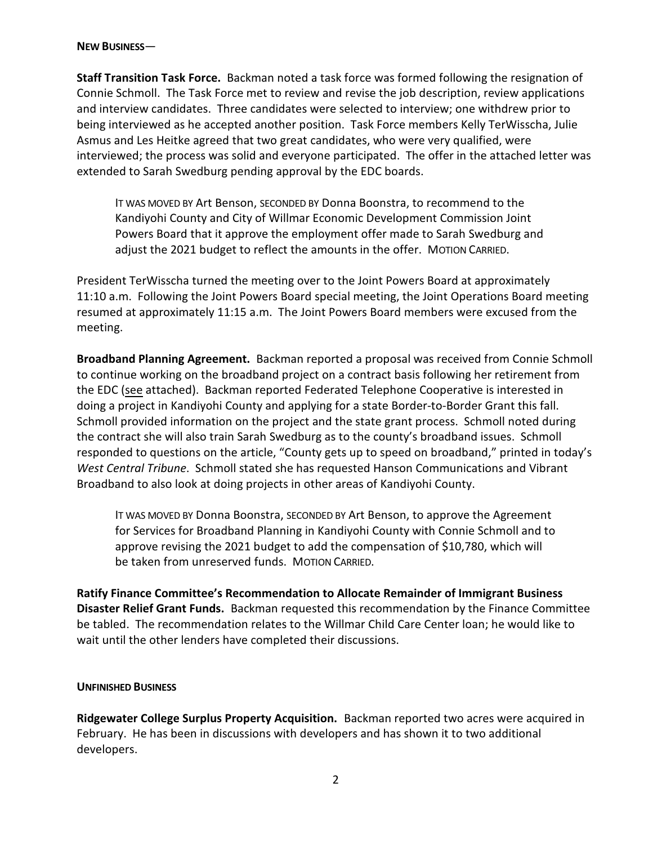#### **NEW BUSINESS**—

**Staff Transition Task Force.** Backman noted a task force was formed following the resignation of Connie Schmoll. The Task Force met to review and revise the job description, review applications and interview candidates. Three candidates were selected to interview; one withdrew prior to being interviewed as he accepted another position. Task Force members Kelly TerWisscha, Julie Asmus and Les Heitke agreed that two great candidates, who were very qualified, were interviewed; the process was solid and everyone participated. The offer in the attached letter was extended to Sarah Swedburg pending approval by the EDC boards.

IT WAS MOVED BY Art Benson, SECONDED BY Donna Boonstra, to recommend to the Kandiyohi County and City of Willmar Economic Development Commission Joint Powers Board that it approve the employment offer made to Sarah Swedburg and adjust the 2021 budget to reflect the amounts in the offer. MOTION CARRIED.

President TerWisscha turned the meeting over to the Joint Powers Board at approximately 11:10 a.m. Following the Joint Powers Board special meeting, the Joint Operations Board meeting resumed at approximately 11:15 a.m. The Joint Powers Board members were excused from the meeting.

**Broadband Planning Agreement.** Backman reported a proposal was received from Connie Schmoll to continue working on the broadband project on a contract basis following her retirement from the EDC (see attached). Backman reported Federated Telephone Cooperative is interested in doing a project in Kandiyohi County and applying for a state Border-to-Border Grant this fall. Schmoll provided information on the project and the state grant process. Schmoll noted during the contract she will also train Sarah Swedburg as to the county's broadband issues. Schmoll responded to questions on the article, "County gets up to speed on broadband," printed in today's *West Central Tribune*. Schmoll stated she has requested Hanson Communications and Vibrant Broadband to also look at doing projects in other areas of Kandiyohi County.

IT WAS MOVED BY Donna Boonstra, SECONDED BY Art Benson, to approve the Agreement for Services for Broadband Planning in Kandiyohi County with Connie Schmoll and to approve revising the 2021 budget to add the compensation of \$10,780, which will be taken from unreserved funds. MOTION CARRIED.

**Ratify Finance Committee's Recommendation to Allocate Remainder of Immigrant Business Disaster Relief Grant Funds.** Backman requested this recommendation by the Finance Committee be tabled. The recommendation relates to the Willmar Child Care Center loan; he would like to wait until the other lenders have completed their discussions.

#### **UNFINISHED BUSINESS**

**Ridgewater College Surplus Property Acquisition.** Backman reported two acres were acquired in February. He has been in discussions with developers and has shown it to two additional developers.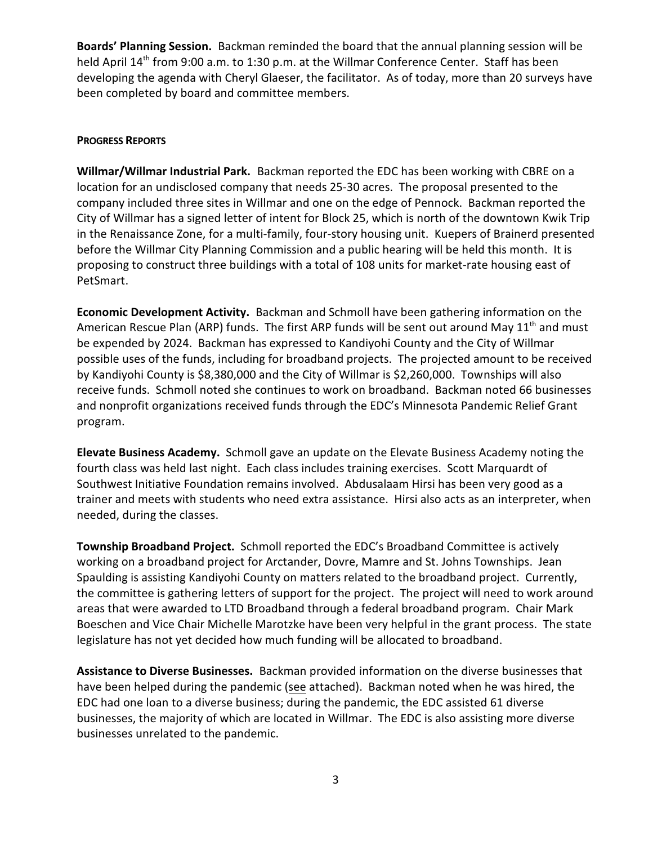**Boards' Planning Session.** Backman reminded the board that the annual planning session will be held April 14<sup>th</sup> from 9:00 a.m. to 1:30 p.m. at the Willmar Conference Center. Staff has been developing the agenda with Cheryl Glaeser, the facilitator. As of today, more than 20 surveys have been completed by board and committee members.

#### **PROGRESS REPORTS**

**Willmar/Willmar Industrial Park.** Backman reported the EDC has been working with CBRE on a location for an undisclosed company that needs 25-30 acres. The proposal presented to the company included three sites in Willmar and one on the edge of Pennock. Backman reported the City of Willmar has a signed letter of intent for Block 25, which is north of the downtown Kwik Trip in the Renaissance Zone, for a multi-family, four-story housing unit. Kuepers of Brainerd presented before the Willmar City Planning Commission and a public hearing will be held this month. It is proposing to construct three buildings with a total of 108 units for market-rate housing east of PetSmart.

**Economic Development Activity.** Backman and Schmoll have been gathering information on the American Rescue Plan (ARP) funds. The first ARP funds will be sent out around May 11<sup>th</sup> and must be expended by 2024. Backman has expressed to Kandiyohi County and the City of Willmar possible uses of the funds, including for broadband projects. The projected amount to be received by Kandiyohi County is \$8,380,000 and the City of Willmar is \$2,260,000. Townships will also receive funds. Schmoll noted she continues to work on broadband. Backman noted 66 businesses and nonprofit organizations received funds through the EDC's Minnesota Pandemic Relief Grant program.

**Elevate Business Academy.** Schmoll gave an update on the Elevate Business Academy noting the fourth class was held last night. Each class includes training exercises. Scott Marquardt of Southwest Initiative Foundation remains involved. Abdusalaam Hirsi has been very good as a trainer and meets with students who need extra assistance. Hirsi also acts as an interpreter, when needed, during the classes.

**Township Broadband Project.** Schmoll reported the EDC's Broadband Committee is actively working on a broadband project for Arctander, Dovre, Mamre and St. Johns Townships. Jean Spaulding is assisting Kandiyohi County on matters related to the broadband project. Currently, the committee is gathering letters of support for the project. The project will need to work around areas that were awarded to LTD Broadband through a federal broadband program. Chair Mark Boeschen and Vice Chair Michelle Marotzke have been very helpful in the grant process. The state legislature has not yet decided how much funding will be allocated to broadband.

**Assistance to Diverse Businesses.** Backman provided information on the diverse businesses that have been helped during the pandemic (see attached). Backman noted when he was hired, the EDC had one loan to a diverse business; during the pandemic, the EDC assisted 61 diverse businesses, the majority of which are located in Willmar. The EDC is also assisting more diverse businesses unrelated to the pandemic.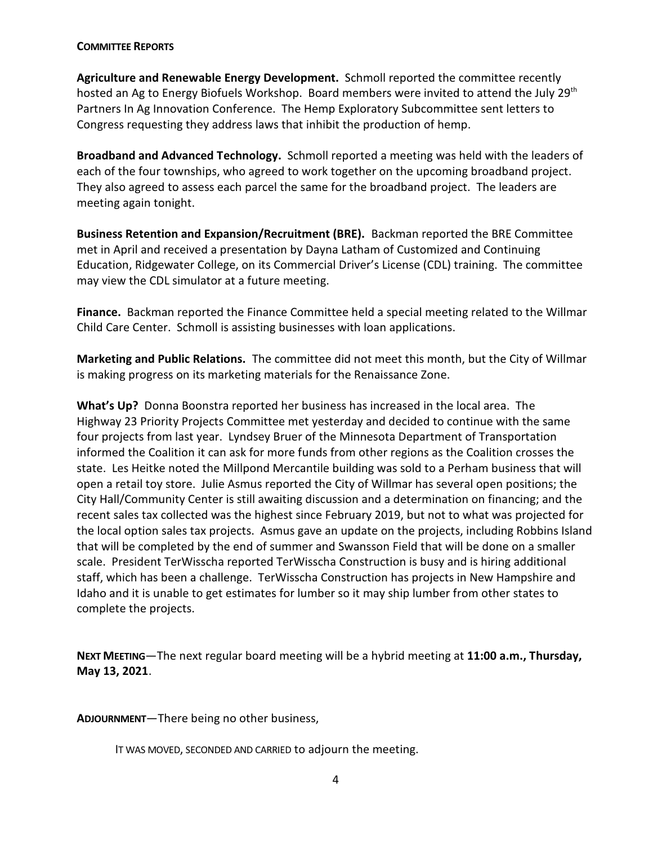#### **COMMITTEE REPORTS**

**Agriculture and Renewable Energy Development.** Schmoll reported the committee recently hosted an Ag to Energy Biofuels Workshop. Board members were invited to attend the July 29<sup>th</sup> Partners In Ag Innovation Conference. The Hemp Exploratory Subcommittee sent letters to Congress requesting they address laws that inhibit the production of hemp.

**Broadband and Advanced Technology.** Schmoll reported a meeting was held with the leaders of each of the four townships, who agreed to work together on the upcoming broadband project. They also agreed to assess each parcel the same for the broadband project. The leaders are meeting again tonight.

**Business Retention and Expansion/Recruitment (BRE).** Backman reported the BRE Committee met in April and received a presentation by Dayna Latham of Customized and Continuing Education, Ridgewater College, on its Commercial Driver's License (CDL) training. The committee may view the CDL simulator at a future meeting.

**Finance.** Backman reported the Finance Committee held a special meeting related to the Willmar Child Care Center. Schmoll is assisting businesses with loan applications.

**Marketing and Public Relations.** The committee did not meet this month, but the City of Willmar is making progress on its marketing materials for the Renaissance Zone.

**What's Up?** Donna Boonstra reported her business has increased in the local area. The Highway 23 Priority Projects Committee met yesterday and decided to continue with the same four projects from last year. Lyndsey Bruer of the Minnesota Department of Transportation informed the Coalition it can ask for more funds from other regions as the Coalition crosses the state. Les Heitke noted the Millpond Mercantile building was sold to a Perham business that will open a retail toy store. Julie Asmus reported the City of Willmar has several open positions; the City Hall/Community Center is still awaiting discussion and a determination on financing; and the recent sales tax collected was the highest since February 2019, but not to what was projected for the local option sales tax projects. Asmus gave an update on the projects, including Robbins Island that will be completed by the end of summer and Swansson Field that will be done on a smaller scale. President TerWisscha reported TerWisscha Construction is busy and is hiring additional staff, which has been a challenge. TerWisscha Construction has projects in New Hampshire and Idaho and it is unable to get estimates for lumber so it may ship lumber from other states to complete the projects.

**NEXT MEETING**—The next regular board meeting will be a hybrid meeting at **11:00 a.m., Thursday, May 13, 2021**.

**ADJOURNMENT**—There being no other business,

IT WAS MOVED, SECONDED AND CARRIED to adjourn the meeting.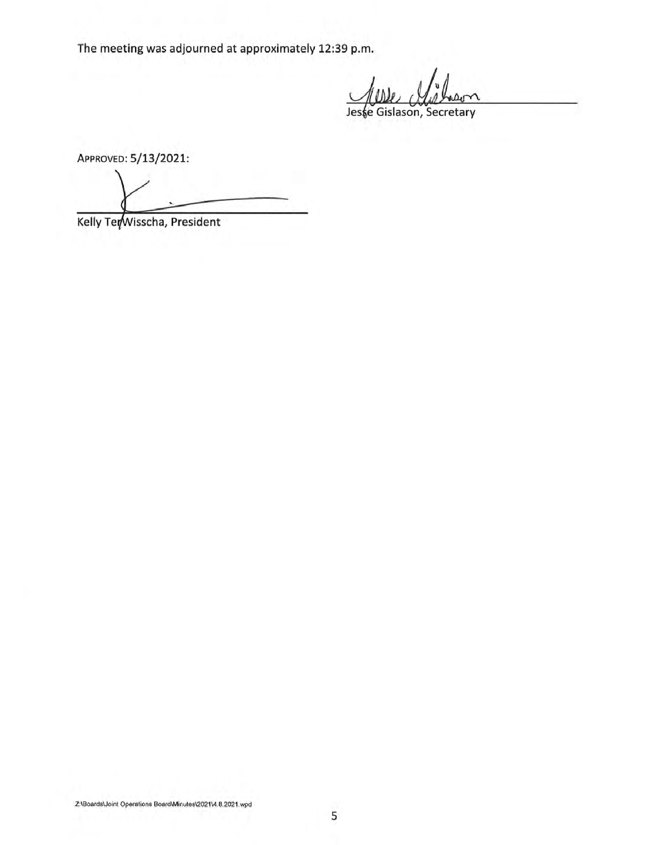The meeting was adjourned at approximately 12:39 p.m.

Jeske Gislason, Secretary

APPROVED: 5/13/2021:

Kelly TerWisscha, President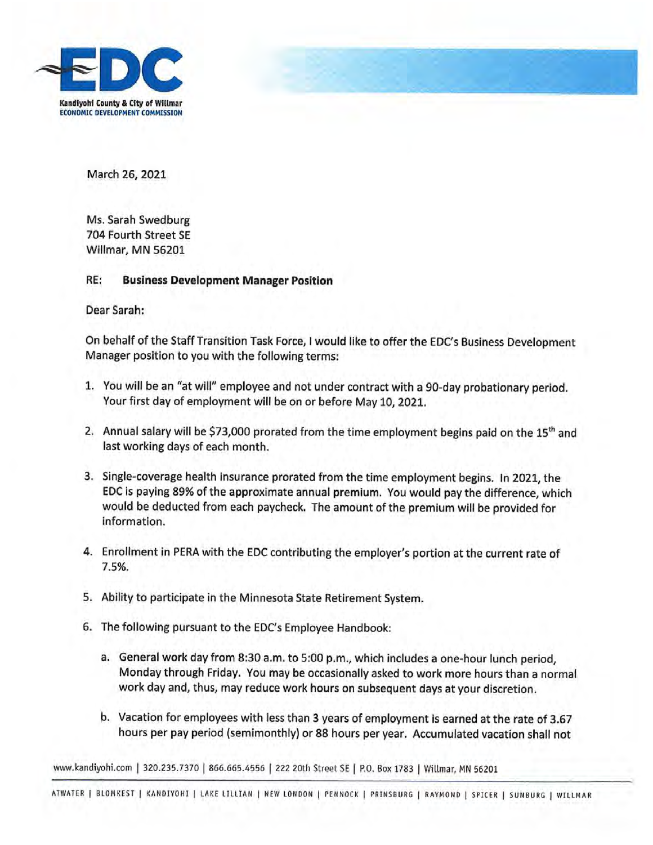



March 26, 2021

Ms. Sarah Swedburg 704 Fourth Street SE Willmar, MN 56201

#### RE: **Business Development Manager Position**

Dear Sarah:

On behalf of the Staff Transition Task Force, I would like to offer the EDC's Business Development Manager position to you with the following terms:

- 1. You will be an "at will" employee and not under contract with a 90-day probationary period. Your first day of employment will be on or before May 10, 2021.
- 2. Annual salary will be \$73,000 prorated from the time employment begins paid on the 15<sup>th</sup> and last working days of each month.
- 3. Single-coverage health insurance prorated from the time employment begins. In 2021, the EDC is paying 89% of the approximate annual premium. You would pay the difference, which would be deducted from each paycheck. The amount of the premium will be provided for information.
- 4. Enrollment in PERA with the EDC contributing the employer's portion at the current rate of 7.5%.
- 5. Ability to participate in the Minnesota State Retirement System.
- 6. The following pursuant to the EDC's Employee Handbook:
	- a. General work day from 8:30 a.m. to 5:00 p.m., which includes a one-hour lunch period. Monday through Friday. You may be occasionally asked to work more hours than a normal work day and, thus, may reduce work hours on subsequent days at your discretion.
	- b. Vacation for employees with less than 3 years of employment is earned at the rate of 3.67 hours per pay period (semimonthly) or 88 hours per year. Accumulated vacation shall not

www.kandiyohi.com | 320.235.7370 | 866.665.4556 | 222 20th Street SE | P.O. Box 1783 | Willmar, MN 56201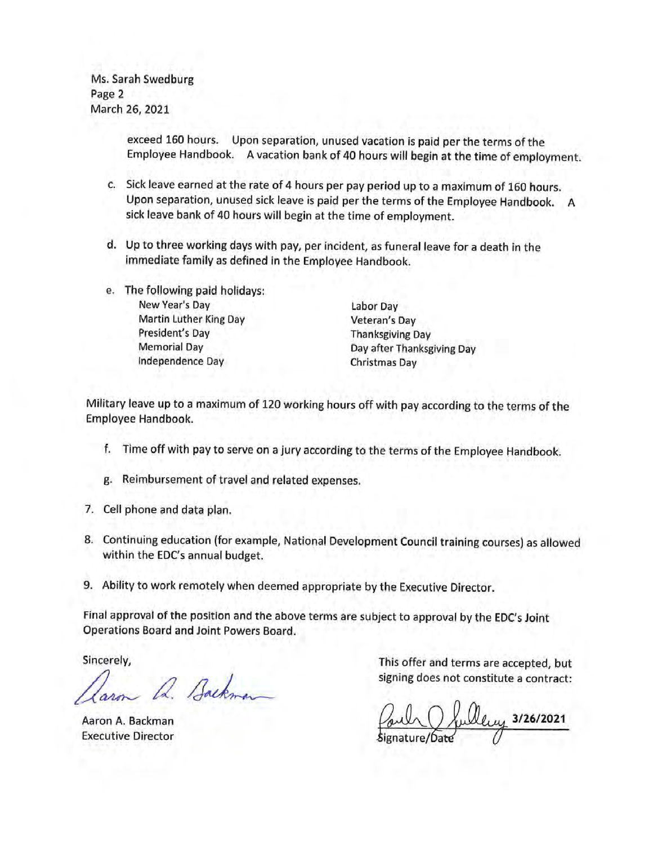Ms. Sarah Swedburg Page 2 March 26, 2021

> exceed 160 hours. Upon separation, unused vacation is paid per the terms of the Employee Handbook. A vacation bank of 40 hours will begin at the time of employment.

- c. Sick leave earned at the rate of 4 hours per pay period up to a maximum of 160 hours. Upon separation, unused sick leave is paid per the terms of the Employee Handbook. A sick leave bank of 40 hours will begin at the time of employment.
- d. Up to three working days with pay, per incident, as funeral leave for a death in the immediate family as defined in the Employee Handbook.
- e. The following paid holidays: New Year's Day **Martin Luther King Day** President's Day **Memorial Day** Independence Day

Labor Day Veteran's Day **Thanksgiving Day** Day after Thanksgiving Day **Christmas Day** 

Military leave up to a maximum of 120 working hours off with pay according to the terms of the Employee Handbook.

- f. Time off with pay to serve on a jury according to the terms of the Employee Handbook.
- g. Reimbursement of travel and related expenses.
- 7. Cell phone and data plan.
- 8. Continuing education (for example, National Development Council training courses) as allowed within the EDC's annual budget.
- 9. Ability to work remotely when deemed appropriate by the Executive Director.

Final approval of the position and the above terms are subject to approval by the EDC's Joint Operations Board and Joint Powers Board.

Sincerely,

Q. Backman

Aaron A. Backman **Executive Director** 

This offer and terms are accepted, but signing does not constitute a contract:

lley 3/26/2021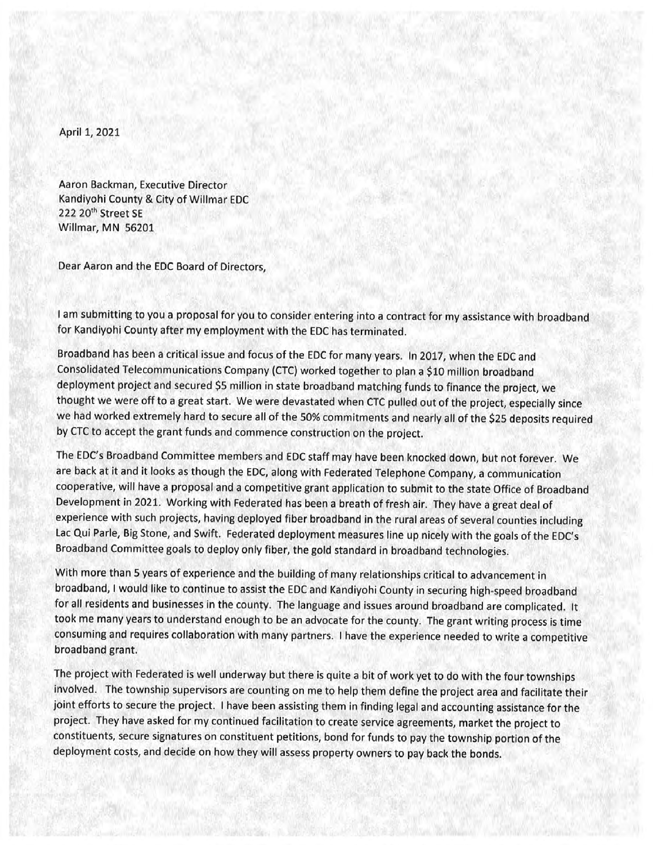April 1, 2021

Aaron Backman, Executive Director Kandiyohi County & City of Willmar EDC 222 20th Street SE Willmar, MN 56201

Dear Aaron and the EDC Board of Directors,

I am submitting to you a proposal for you to consider entering into a contract for my assistance with broadband for Kandiyohi County after my employment with the EDC has terminated.

Broadband has been a critical issue and focus of the EDC for many years. In 2017, when the EDC and Consolidated Telecommunications Company (CTC) worked together to plan a \$10 million broadband deployment project and secured \$5 million in state broadband matching funds to finance the project, we thought we were off to a great start. We were devastated when CTC pulled out of the project, especially since we had worked extremely hard to secure all of the 50% commitments and nearly all of the \$25 deposits required by CTC to accept the grant funds and commence construction on the project.

The EDC's Broadband Committee members and EDC staff may have been knocked down, but not forever. We are back at it and it looks as though the EDC, along with Federated Telephone Company, a communication cooperative, will have a proposal and a competitive grant application to submit to the state Office of Broadband Development in 2021. Working with Federated has been a breath of fresh air. They have a great deal of experience with such projects, having deployed fiber broadband in the rural areas of several counties including Lac Qui Parle, Big Stone, and Swift. Federated deployment measures line up nicely with the goals of the EDC's Broadband Committee goals to deploy only fiber, the gold standard in broadband technologies.

With more than 5 years of experience and the building of many relationships critical to advancement in broadband, I would like to continue to assist the EDC and Kandiyohi County in securing high-speed broadband for all residents and businesses in the county. The language and issues around broadband are complicated. It took me many years to understand enough to be an advocate for the county. The grant writing process is time consuming and requires collaboration with many partners. I have the experience needed to write a competitive broadband grant.

The project with Federated is well underway but there is quite a bit of work yet to do with the four townships involved. The township supervisors are counting on me to help them define the project area and facilitate their joint efforts to secure the project. I have been assisting them in finding legal and accounting assistance for the project. They have asked for my continued facilitation to create service agreements, market the project to constituents, secure signatures on constituent petitions, bond for funds to pay the township portion of the deployment costs, and decide on how they will assess property owners to pay back the bonds.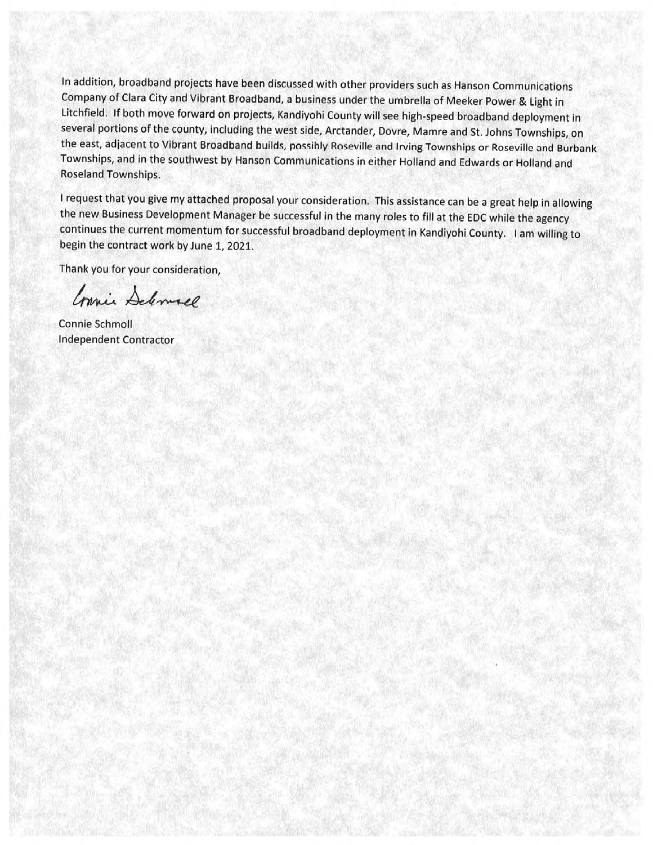In addition, broadband projects have been discussed with other providers such as Hanson Communications Company of Clara City and Vibrant Broadband, a business under the umbrella of Meeker Power & Light in Litchfield. If both move forward on projects, Kandiyohi County will see high-speed broadband deployment in several portions of the county, including the west side, Arctander, Dovre, Mamre and St. Johns Townships, on the east, adjacent to Vibrant Broadband builds, possibly Roseville and Irving Townships or Roseville and Burbank Townships, and in the southwest by Hanson Communications in either Holland and Edwards or Holland and Roseland Townships.

I request that you give my attached proposal your consideration. This assistance can be a great help in allowing the new Business Development Manager be successful in the many roles to fill at the EDC while the agency continues the current momentum for successful broadband deployment in Kandiyohi County. I am willing to begin the contract work by June 1, 2021.

Thank you for your consideration,

Connie Deliverel

**Connie Schmoll Independent Contractor**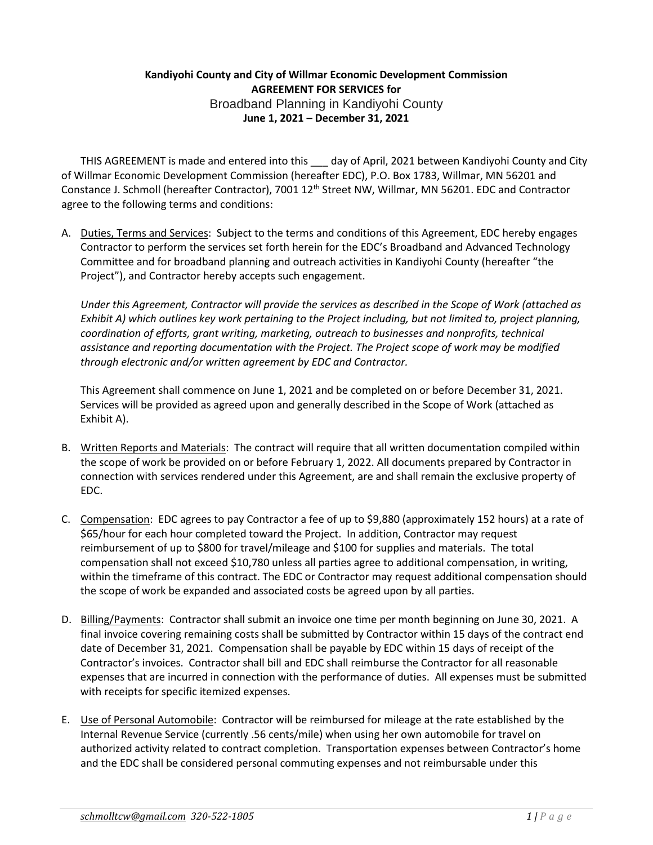### **Kandiyohi County and City of Willmar Economic Development Commission AGREEMENT FOR SERVICES for**  Broadband Planning in Kandiyohi County **June 1, 2021 – December 31, 2021**

THIS AGREEMENT is made and entered into this \_\_\_ day of April, 2021 between Kandiyohi County and City of Willmar Economic Development Commission (hereafter EDC), P.O. Box 1783, Willmar, MN 56201 and Constance J. Schmoll (hereafter Contractor), 7001 12<sup>th</sup> Street NW, Willmar, MN 56201. EDC and Contractor agree to the following terms and conditions:

A. Duties, Terms and Services: Subject to the terms and conditions of this Agreement, EDC hereby engages Contractor to perform the services set forth herein for the EDC's Broadband and Advanced Technology Committee and for broadband planning and outreach activities in Kandiyohi County (hereafter "the Project"), and Contractor hereby accepts such engagement.

*Under this Agreement, Contractor will provide the services as described in the Scope of Work (attached as Exhibit A) which outlines key work pertaining to the Project including, but not limited to, project planning, coordination of efforts, grant writing, marketing, outreach to businesses and nonprofits, technical assistance and reporting documentation with the Project. The Project scope of work may be modified through electronic and/or written agreement by EDC and Contractor.*

This Agreement shall commence on June 1, 2021 and be completed on or before December 31, 2021. Services will be provided as agreed upon and generally described in the Scope of Work (attached as Exhibit A).

- B. Written Reports and Materials: The contract will require that all written documentation compiled within the scope of work be provided on or before February 1, 2022. All documents prepared by Contractor in connection with services rendered under this Agreement, are and shall remain the exclusive property of EDC.
- C. Compensation: EDC agrees to pay Contractor a fee of up to \$9,880 (approximately 152 hours) at a rate of \$65/hour for each hour completed toward the Project. In addition, Contractor may request reimbursement of up to \$800 for travel/mileage and \$100 for supplies and materials. The total compensation shall not exceed \$10,780 unless all parties agree to additional compensation, in writing, within the timeframe of this contract. The EDC or Contractor may request additional compensation should the scope of work be expanded and associated costs be agreed upon by all parties.
- D. Billing/Payments: Contractor shall submit an invoice one time per month beginning on June 30, 2021. A final invoice covering remaining costs shall be submitted by Contractor within 15 days of the contract end date of December 31, 2021. Compensation shall be payable by EDC within 15 days of receipt of the Contractor's invoices. Contractor shall bill and EDC shall reimburse the Contractor for all reasonable expenses that are incurred in connection with the performance of duties. All expenses must be submitted with receipts for specific itemized expenses.
- E. Use of Personal Automobile: Contractor will be reimbursed for mileage at the rate established by the Internal Revenue Service (currently .56 cents/mile) when using her own automobile for travel on authorized activity related to contract completion. Transportation expenses between Contractor's home and the EDC shall be considered personal commuting expenses and not reimbursable under this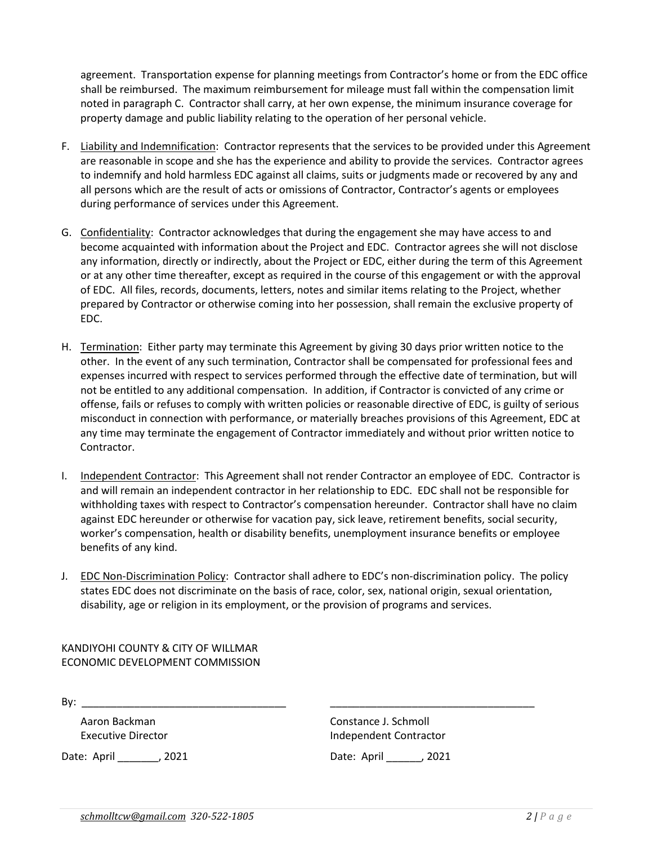agreement. Transportation expense for planning meetings from Contractor's home or from the EDC office shall be reimbursed. The maximum reimbursement for mileage must fall within the compensation limit noted in paragraph C. Contractor shall carry, at her own expense, the minimum insurance coverage for property damage and public liability relating to the operation of her personal vehicle.

- F. Liability and Indemnification: Contractor represents that the services to be provided under this Agreement are reasonable in scope and she has the experience and ability to provide the services. Contractor agrees to indemnify and hold harmless EDC against all claims, suits or judgments made or recovered by any and all persons which are the result of acts or omissions of Contractor, Contractor's agents or employees during performance of services under this Agreement.
- G. Confidentiality: Contractor acknowledges that during the engagement she may have access to and become acquainted with information about the Project and EDC. Contractor agrees she will not disclose any information, directly or indirectly, about the Project or EDC, either during the term of this Agreement or at any other time thereafter, except as required in the course of this engagement or with the approval of EDC. All files, records, documents, letters, notes and similar items relating to the Project, whether prepared by Contractor or otherwise coming into her possession, shall remain the exclusive property of EDC.
- H. Termination: Either party may terminate this Agreement by giving 30 days prior written notice to the other. In the event of any such termination, Contractor shall be compensated for professional fees and expenses incurred with respect to services performed through the effective date of termination, but will not be entitled to any additional compensation. In addition, if Contractor is convicted of any crime or offense, fails or refuses to comply with written policies or reasonable directive of EDC, is guilty of serious misconduct in connection with performance, or materially breaches provisions of this Agreement, EDC at any time may terminate the engagement of Contractor immediately and without prior written notice to Contractor.
- I. Independent Contractor: This Agreement shall not render Contractor an employee of EDC. Contractor is and will remain an independent contractor in her relationship to EDC. EDC shall not be responsible for withholding taxes with respect to Contractor's compensation hereunder. Contractor shall have no claim against EDC hereunder or otherwise for vacation pay, sick leave, retirement benefits, social security, worker's compensation, health or disability benefits, unemployment insurance benefits or employee benefits of any kind.
- J. EDC Non-Discrimination Policy: Contractor shall adhere to EDC's non-discrimination policy. The policy states EDC does not discriminate on the basis of race, color, sex, national origin, sexual orientation, disability, age or religion in its employment, or the provision of programs and services.

KANDIYOHI COUNTY & CITY OF WILLMAR ECONOMIC DEVELOPMENT COMMISSION

By: \_\_\_\_\_\_\_\_\_\_\_\_\_\_\_\_\_\_\_\_\_\_\_\_\_\_\_\_\_\_\_\_\_\_\_ \_\_\_\_\_\_\_\_\_\_\_\_\_\_\_\_\_\_\_\_\_\_\_\_\_\_\_\_\_\_\_\_\_\_\_

Date: April \_\_\_\_\_\_\_, 2021 Date: April \_\_\_\_\_, 2021

Aaron Backman Constance J. Schmoll Executive Director **Independent Contractor**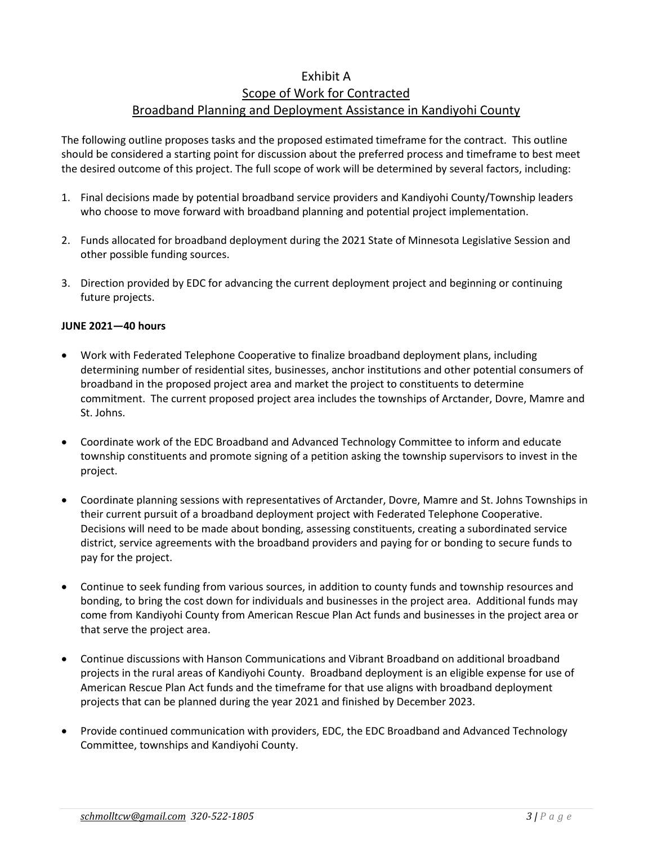## Exhibit A Scope of Work for Contracted Broadband Planning and Deployment Assistance in Kandiyohi County

The following outline proposes tasks and the proposed estimated timeframe for the contract. This outline should be considered a starting point for discussion about the preferred process and timeframe to best meet the desired outcome of this project. The full scope of work will be determined by several factors, including:

- 1. Final decisions made by potential broadband service providers and Kandiyohi County/Township leaders who choose to move forward with broadband planning and potential project implementation.
- 2. Funds allocated for broadband deployment during the 2021 State of Minnesota Legislative Session and other possible funding sources.
- 3. Direction provided by EDC for advancing the current deployment project and beginning or continuing future projects.

#### **JUNE 2021—40 hours**

- Work with Federated Telephone Cooperative to finalize broadband deployment plans, including determining number of residential sites, businesses, anchor institutions and other potential consumers of broadband in the proposed project area and market the project to constituents to determine commitment. The current proposed project area includes the townships of Arctander, Dovre, Mamre and St. Johns.
- Coordinate work of the EDC Broadband and Advanced Technology Committee to inform and educate township constituents and promote signing of a petition asking the township supervisors to invest in the project.
- Coordinate planning sessions with representatives of Arctander, Dovre, Mamre and St. Johns Townships in their current pursuit of a broadband deployment project with Federated Telephone Cooperative. Decisions will need to be made about bonding, assessing constituents, creating a subordinated service district, service agreements with the broadband providers and paying for or bonding to secure funds to pay for the project.
- Continue to seek funding from various sources, in addition to county funds and township resources and bonding, to bring the cost down for individuals and businesses in the project area. Additional funds may come from Kandiyohi County from American Rescue Plan Act funds and businesses in the project area or that serve the project area.
- Continue discussions with Hanson Communications and Vibrant Broadband on additional broadband projects in the rural areas of Kandiyohi County. Broadband deployment is an eligible expense for use of American Rescue Plan Act funds and the timeframe for that use aligns with broadband deployment projects that can be planned during the year 2021 and finished by December 2023.
- Provide continued communication with providers, EDC, the EDC Broadband and Advanced Technology Committee, townships and Kandiyohi County.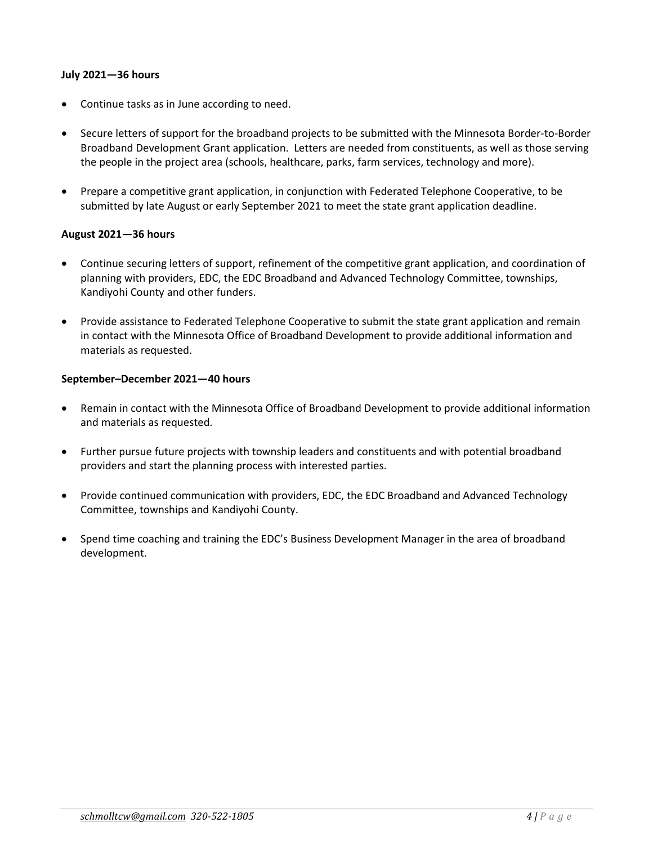#### **July 2021—36 hours**

- Continue tasks as in June according to need.
- Secure letters of support for the broadband projects to be submitted with the Minnesota Border-to-Border Broadband Development Grant application. Letters are needed from constituents, as well as those serving the people in the project area (schools, healthcare, parks, farm services, technology and more).
- Prepare a competitive grant application, in conjunction with Federated Telephone Cooperative, to be submitted by late August or early September 2021 to meet the state grant application deadline.

#### **August 2021—36 hours**

- Continue securing letters of support, refinement of the competitive grant application, and coordination of planning with providers, EDC, the EDC Broadband and Advanced Technology Committee, townships, Kandiyohi County and other funders.
- Provide assistance to Federated Telephone Cooperative to submit the state grant application and remain in contact with the Minnesota Office of Broadband Development to provide additional information and materials as requested.

#### **September–December 2021—40 hours**

- Remain in contact with the Minnesota Office of Broadband Development to provide additional information and materials as requested.
- Further pursue future projects with township leaders and constituents and with potential broadband providers and start the planning process with interested parties.
- Provide continued communication with providers, EDC, the EDC Broadband and Advanced Technology Committee, townships and Kandiyohi County.
- Spend time coaching and training the EDC's Business Development Manager in the area of broadband development.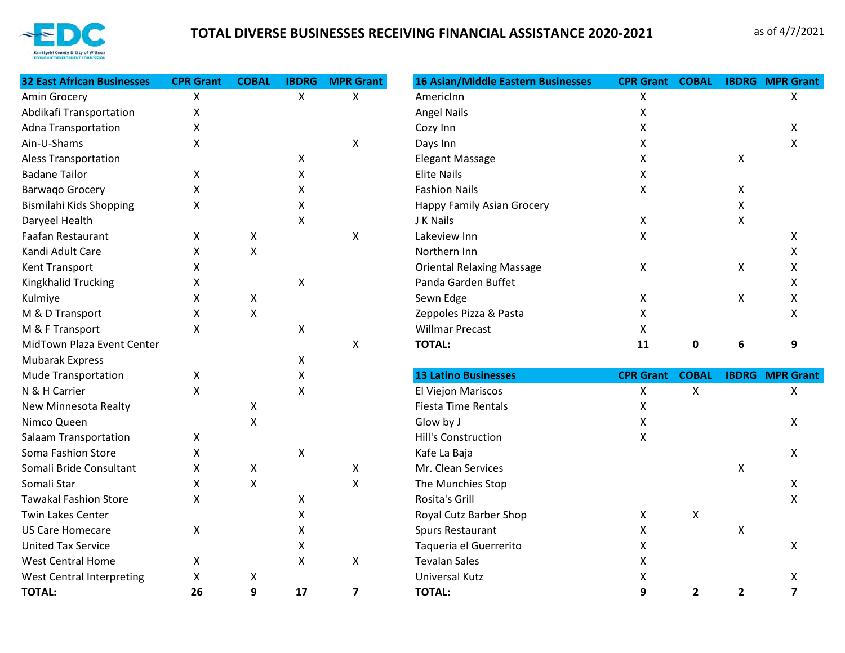

# **TOTAL DIVERSE BUSINESSES RECEIVING FINANCIAL ASSISTANCE 2020-2021** as of 4/7/2021

| <b>32 East African Businesses</b> | <b>CPR Grant</b> | <b>COBAL</b>       | <b>IBDRG</b>       | <b>MPR Grant</b>          | 16 Asian/Middle Eastern Businesses | <b>CPR Grant</b> | <b>COBAL</b> |                           | <b>IBDRG MPR Grant</b>  |
|-----------------------------------|------------------|--------------------|--------------------|---------------------------|------------------------------------|------------------|--------------|---------------------------|-------------------------|
| Amin Grocery                      | Χ                |                    | $\pmb{\mathsf{X}}$ | X                         | AmericInn                          | Χ                |              |                           | X                       |
| Abdikafi Transportation           | X                |                    |                    |                           | <b>Angel Nails</b>                 | X                |              |                           |                         |
| <b>Adna Transportation</b>        | X                |                    |                    |                           | Cozy Inn                           | Χ                |              |                           | X                       |
| Ain-U-Shams                       | X                |                    |                    | X                         | Days Inn                           | X                |              |                           | X                       |
| <b>Aless Transportation</b>       |                  |                    | X                  |                           | <b>Elegant Massage</b>             | X                |              | $\boldsymbol{\mathsf{X}}$ |                         |
| <b>Badane Tailor</b>              | X                |                    | X                  |                           | <b>Elite Nails</b>                 | X                |              |                           |                         |
| <b>Barwago Grocery</b>            | X                |                    | X                  |                           | <b>Fashion Nails</b>               | X                |              | X                         |                         |
| Bismilahi Kids Shopping           | X                |                    | Χ                  |                           | Happy Family Asian Grocery         |                  |              | X                         |                         |
| Daryeel Health                    |                  |                    | X                  |                           | J K Nails                          | X                |              | X                         |                         |
| Faafan Restaurant                 | X                | X                  |                    | $\boldsymbol{\mathsf{X}}$ | Lakeview Inn                       | X                |              |                           | X                       |
| Kandi Adult Care                  | X                | Χ                  |                    |                           | Northern Inn                       |                  |              |                           | Χ                       |
| Kent Transport                    | X                |                    |                    |                           | <b>Oriental Relaxing Massage</b>   | X                |              | X                         | Х                       |
| Kingkhalid Trucking               | X                |                    | Χ                  |                           | Panda Garden Buffet                |                  |              |                           | Χ                       |
| Kulmiye                           | X                | Χ                  |                    |                           | Sewn Edge                          | X                |              | Χ                         | X                       |
| M & D Transport                   | X                | X                  |                    |                           | Zeppoles Pizza & Pasta             | X                |              |                           | X                       |
| M & F Transport                   | X                |                    | X                  |                           | <b>Willmar Precast</b>             | X                |              |                           |                         |
| MidTown Plaza Event Center        |                  |                    |                    | X                         | <b>TOTAL:</b>                      | 11               | 0            | 6                         | 9                       |
| Mubarak Express                   |                  |                    | X                  |                           |                                    |                  |              |                           |                         |
| <b>Mude Transportation</b>        | X                |                    | Χ                  |                           | <b>13 Latino Businesses</b>        | <b>CPR Grant</b> | <b>COBAL</b> |                           | <b>IBDRG</b> MPR Grant  |
| N & H Carrier                     | X                |                    | X                  |                           | El Viejon Mariscos                 | Χ                | X            |                           | X                       |
| New Minnesota Realty              |                  | X                  |                    |                           | <b>Fiesta Time Rentals</b>         | X                |              |                           |                         |
| Nimco Queen                       |                  | $\pmb{\times}$     |                    |                           | Glow by J                          | X                |              |                           | X                       |
| <b>Salaam Transportation</b>      | X                |                    |                    |                           | <b>Hill's Construction</b>         | Χ                |              |                           |                         |
| Soma Fashion Store                | X                |                    | Χ                  |                           | Kafe La Baja                       |                  |              |                           | X                       |
| Somali Bride Consultant           | X                | Χ                  |                    | X                         | Mr. Clean Services                 |                  |              | X                         |                         |
| Somali Star                       | X                | $\pmb{\mathsf{X}}$ |                    | X                         | The Munchies Stop                  |                  |              |                           | X                       |
| <b>Tawakal Fashion Store</b>      | X                |                    | X                  |                           | Rosita's Grill                     |                  |              |                           | $\mathsf{x}$            |
| <b>Twin Lakes Center</b>          |                  |                    | Χ                  |                           | Royal Cutz Barber Shop             | X                | X            |                           |                         |
| <b>US Care Homecare</b>           | X                |                    | X                  |                           | <b>Spurs Restaurant</b>            | X                |              | X                         |                         |
| <b>United Tax Service</b>         |                  |                    | Χ                  |                           | Taqueria el Guerrerito             | X                |              |                           | X                       |
| <b>West Central Home</b>          | X                |                    | X                  | X                         | <b>Tevalan Sales</b>               | X                |              |                           |                         |
| <b>West Central Interpreting</b>  | X                | Χ                  |                    |                           | Universal Kutz                     | Χ                |              |                           | Χ                       |
| <b>TOTAL:</b>                     | 26               | 9                  | 17                 | $\overline{7}$            | <b>TOTAL:</b>                      | 9                | $\mathbf{2}$ | $\overline{2}$            | $\overline{\mathbf{z}}$ |